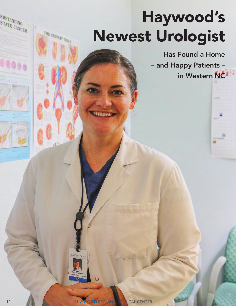## Haywood's Newest Urologist

Has Found a Home – and Happy Patients – in Western NC

 $\circ$ 

HAYWOOD

**Ibanazzo** 

ERSTANDING<br>STATE CANC STATE CANCER

 $\mathbb{R}$ 

THE URINARY TRACT